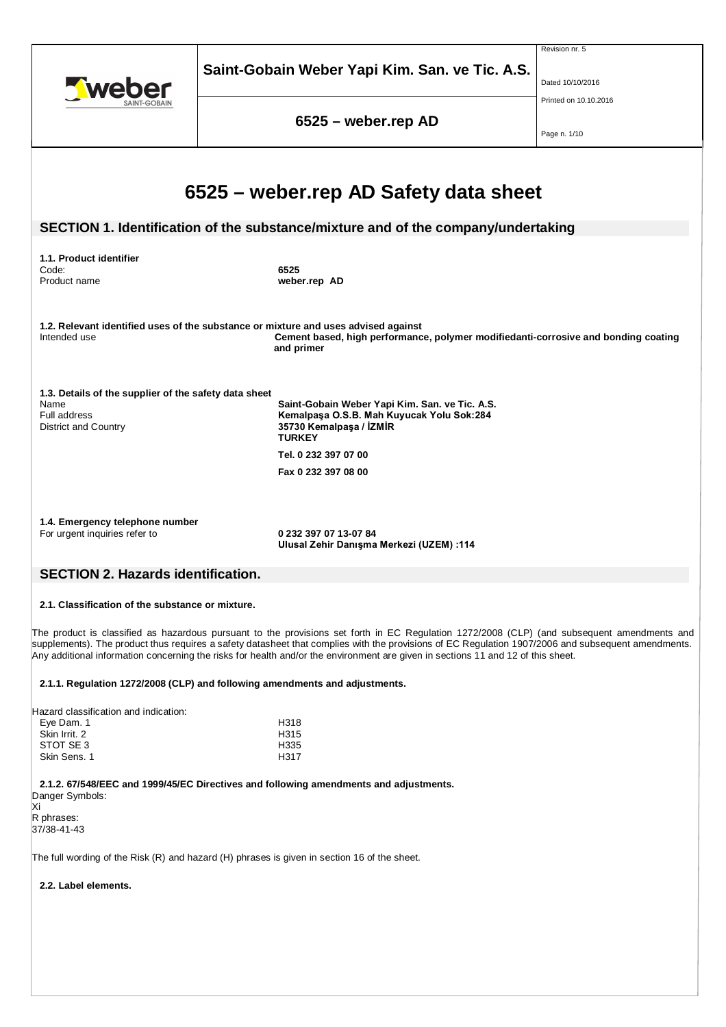|                                                                                                                                       | Saint-Gobain Weber Yapi Kim. San. ve Tic. A.S.                                                                                                                                                                                                                                                                                                                                                                                        | Revision nr. 5<br>Dated 10/10/2016<br>Printed on 10.10.2016 |  |  |  |
|---------------------------------------------------------------------------------------------------------------------------------------|---------------------------------------------------------------------------------------------------------------------------------------------------------------------------------------------------------------------------------------------------------------------------------------------------------------------------------------------------------------------------------------------------------------------------------------|-------------------------------------------------------------|--|--|--|
|                                                                                                                                       | 6525 - weber.rep AD                                                                                                                                                                                                                                                                                                                                                                                                                   | Page n. 1/10                                                |  |  |  |
|                                                                                                                                       | 6525 – weber.rep AD Safety data sheet<br>SECTION 1. Identification of the substance/mixture and of the company/undertaking                                                                                                                                                                                                                                                                                                            |                                                             |  |  |  |
| 1.1. Product identifier<br>Code:<br>Product name                                                                                      | 6525<br>weber.rep AD                                                                                                                                                                                                                                                                                                                                                                                                                  |                                                             |  |  |  |
| Intended use                                                                                                                          | 1.2. Relevant identified uses of the substance or mixture and uses advised against<br>Cement based, high performance, polymer modifiedanti-corrosive and bonding coating<br>and primer                                                                                                                                                                                                                                                |                                                             |  |  |  |
| 1.3. Details of the supplier of the safety data sheet<br>Name<br>Full address<br>District and Country                                 | Saint-Gobain Weber Yapi Kim. San. ve Tic. A.S.<br>Kemalpaşa O.S.B. Mah Kuyucak Yolu Sok:284<br>35730 Kemalpaşa / İZMİR<br><b>TURKEY</b><br>Tel. 0 232 397 07 00<br>Fax 0 232 397 08 00                                                                                                                                                                                                                                                |                                                             |  |  |  |
| 1.4. Emergency telephone number<br>For urgent inquiries refer to<br>0 232 397 07 13-07 84<br>Ulusal Zehir Danışma Merkezi (UZEM) :114 |                                                                                                                                                                                                                                                                                                                                                                                                                                       |                                                             |  |  |  |
| <b>SECTION 2. Hazards identification.</b>                                                                                             |                                                                                                                                                                                                                                                                                                                                                                                                                                       |                                                             |  |  |  |
| 2.1. Classification of the substance or mixture.                                                                                      |                                                                                                                                                                                                                                                                                                                                                                                                                                       |                                                             |  |  |  |
|                                                                                                                                       | The product is classified as hazardous pursuant to the provisions set forth in EC Regulation 1272/2008 (CLP) (and subsequent amendments and<br>supplements). The product thus requires a safety datasheet that complies with the provisions of EC Regulation 1907/2006 and subsequent amendments.<br>Any additional information concerning the risks for health and/or the environment are given in sections 11 and 12 of this sheet. |                                                             |  |  |  |
|                                                                                                                                       | 2.1.1. Regulation 1272/2008 (CLP) and following amendments and adjustments.                                                                                                                                                                                                                                                                                                                                                           |                                                             |  |  |  |
| Hazard classification and indication:<br>Eye Dam. 1<br>Skin Irrit. 2<br>STOT SE3<br>Skin Sens. 1                                      | H318<br>H315<br>H335<br>H317                                                                                                                                                                                                                                                                                                                                                                                                          |                                                             |  |  |  |
| Danger Symbols:<br>Xi<br>R phrases:<br>37/38-41-43                                                                                    | 2.1.2. 67/548/EEC and 1999/45/EC Directives and following amendments and adjustments.                                                                                                                                                                                                                                                                                                                                                 |                                                             |  |  |  |
|                                                                                                                                       | The full wording of the Risk (R) and hazard (H) phrases is given in section 16 of the sheet.                                                                                                                                                                                                                                                                                                                                          |                                                             |  |  |  |
| 2.2. Label elements.                                                                                                                  |                                                                                                                                                                                                                                                                                                                                                                                                                                       |                                                             |  |  |  |
|                                                                                                                                       |                                                                                                                                                                                                                                                                                                                                                                                                                                       |                                                             |  |  |  |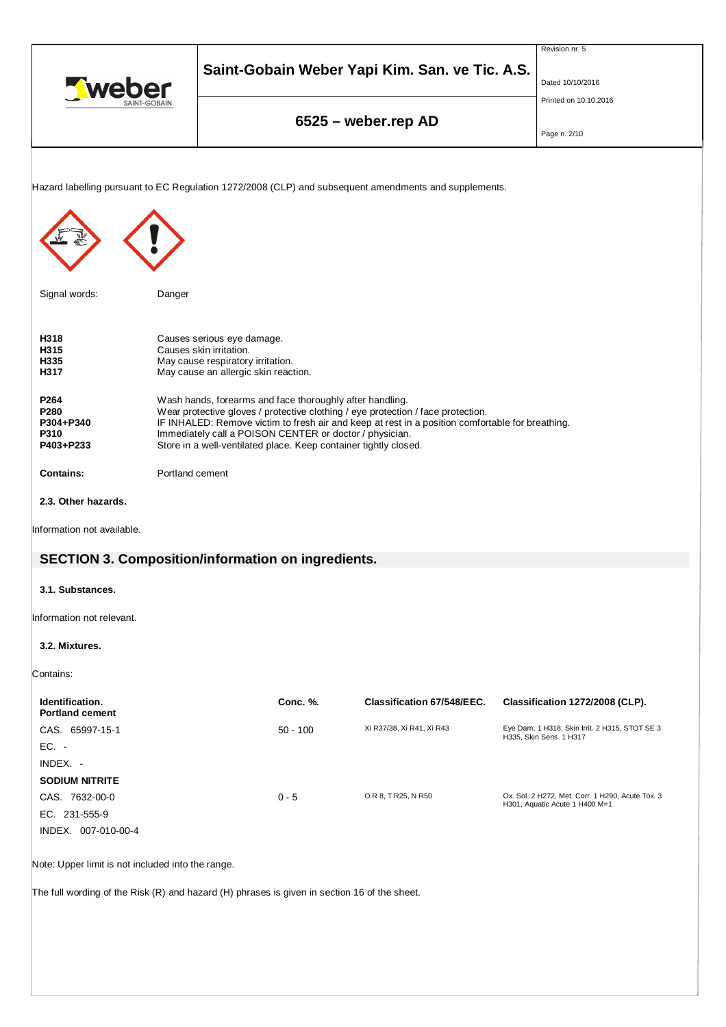|                                                                                              |                 |                                                                                                                             |            |                                                                                                       |  | Revision nr. 5                                                                     |
|----------------------------------------------------------------------------------------------|-----------------|-----------------------------------------------------------------------------------------------------------------------------|------------|-------------------------------------------------------------------------------------------------------|--|------------------------------------------------------------------------------------|
| <b>Tweber</b><br>SAINT-GOBAIN                                                                |                 |                                                                                                                             |            | Saint-Gobain Weber Yapi Kim. San. ve Tic. A.S.                                                        |  | Dated 10/10/2016                                                                   |
|                                                                                              |                 |                                                                                                                             |            |                                                                                                       |  | Printed on 10.10.2016                                                              |
|                                                                                              |                 |                                                                                                                             |            | 6525 - weber.rep AD                                                                                   |  |                                                                                    |
|                                                                                              |                 |                                                                                                                             |            |                                                                                                       |  | Page n. 2/10                                                                       |
|                                                                                              |                 |                                                                                                                             |            |                                                                                                       |  |                                                                                    |
|                                                                                              |                 |                                                                                                                             |            | Hazard labelling pursuant to EC Regulation 1272/2008 (CLP) and subsequent amendments and supplements. |  |                                                                                    |
|                                                                                              |                 |                                                                                                                             |            |                                                                                                       |  |                                                                                    |
|                                                                                              |                 |                                                                                                                             |            |                                                                                                       |  |                                                                                    |
|                                                                                              |                 |                                                                                                                             |            |                                                                                                       |  |                                                                                    |
|                                                                                              |                 |                                                                                                                             |            |                                                                                                       |  |                                                                                    |
|                                                                                              |                 |                                                                                                                             |            |                                                                                                       |  |                                                                                    |
| Signal words:                                                                                | Danger          |                                                                                                                             |            |                                                                                                       |  |                                                                                    |
|                                                                                              |                 |                                                                                                                             |            |                                                                                                       |  |                                                                                    |
| H318<br>H315                                                                                 |                 | Causes serious eye damage.<br>Causes skin irritation.                                                                       |            |                                                                                                       |  |                                                                                    |
| H335<br>H317                                                                                 |                 | May cause respiratory irritation.                                                                                           |            |                                                                                                       |  |                                                                                    |
|                                                                                              |                 | May cause an allergic skin reaction.                                                                                        |            |                                                                                                       |  |                                                                                    |
| P264<br>P280                                                                                 |                 | Wash hands, forearms and face thoroughly after handling.                                                                    |            | Wear protective gloves / protective clothing / eye protection / face protection.                      |  |                                                                                    |
| P304+P340                                                                                    |                 |                                                                                                                             |            | IF INHALED: Remove victim to fresh air and keep at rest in a position comfortable for breathing.      |  |                                                                                    |
| P310<br>P403+P233                                                                            |                 | Immediately call a POISON CENTER or doctor / physician.<br>Store in a well-ventilated place. Keep container tightly closed. |            |                                                                                                       |  |                                                                                    |
| <b>Contains:</b>                                                                             |                 |                                                                                                                             |            |                                                                                                       |  |                                                                                    |
|                                                                                              | Portland cement |                                                                                                                             |            |                                                                                                       |  |                                                                                    |
| 2.3. Other hazards.                                                                          |                 |                                                                                                                             |            |                                                                                                       |  |                                                                                    |
| Information not available.                                                                   |                 |                                                                                                                             |            |                                                                                                       |  |                                                                                    |
| <b>SECTION 3. Composition/information on ingredients.</b>                                    |                 |                                                                                                                             |            |                                                                                                       |  |                                                                                    |
|                                                                                              |                 |                                                                                                                             |            |                                                                                                       |  |                                                                                    |
| 3.1. Substances.                                                                             |                 |                                                                                                                             |            |                                                                                                       |  |                                                                                    |
| Information not relevant.                                                                    |                 |                                                                                                                             |            |                                                                                                       |  |                                                                                    |
| 3.2. Mixtures.                                                                               |                 |                                                                                                                             |            |                                                                                                       |  |                                                                                    |
|                                                                                              |                 |                                                                                                                             |            |                                                                                                       |  |                                                                                    |
| Contains:                                                                                    |                 |                                                                                                                             |            |                                                                                                       |  |                                                                                    |
| Identification.                                                                              |                 |                                                                                                                             | Conc. %.   | Classification 67/548/EEC.                                                                            |  | Classification 1272/2008 (CLP).                                                    |
| <b>Portland cement</b><br>CAS. 65997-15-1                                                    |                 |                                                                                                                             | $50 - 100$ | Xi R37/38, Xi R41, Xi R43                                                                             |  | Eye Dam. 1 H318, Skin Irrit. 2 H315, STOT SE 3                                     |
| EC. -                                                                                        |                 |                                                                                                                             |            |                                                                                                       |  | H335, Skin Sens. 1 H317                                                            |
| INDEX. -                                                                                     |                 |                                                                                                                             |            |                                                                                                       |  |                                                                                    |
| <b>SODIUM NITRITE</b>                                                                        |                 |                                                                                                                             |            |                                                                                                       |  |                                                                                    |
| CAS. 7632-00-0                                                                               |                 |                                                                                                                             | $0 - 5$    | O R 8, T R25, N R50                                                                                   |  | Ox. Sol. 2 H272, Met. Corr. 1 H290, Acute Tox. 3<br>H301, Aquatic Acute 1 H400 M=1 |
| EC. 231-555-9                                                                                |                 |                                                                                                                             |            |                                                                                                       |  |                                                                                    |
| INDEX. 007-010-00-4                                                                          |                 |                                                                                                                             |            |                                                                                                       |  |                                                                                    |
| Note: Upper limit is not included into the range.                                            |                 |                                                                                                                             |            |                                                                                                       |  |                                                                                    |
|                                                                                              |                 |                                                                                                                             |            |                                                                                                       |  |                                                                                    |
| The full wording of the Risk (R) and hazard (H) phrases is given in section 16 of the sheet. |                 |                                                                                                                             |            |                                                                                                       |  |                                                                                    |
|                                                                                              |                 |                                                                                                                             |            |                                                                                                       |  |                                                                                    |
|                                                                                              |                 |                                                                                                                             |            |                                                                                                       |  |                                                                                    |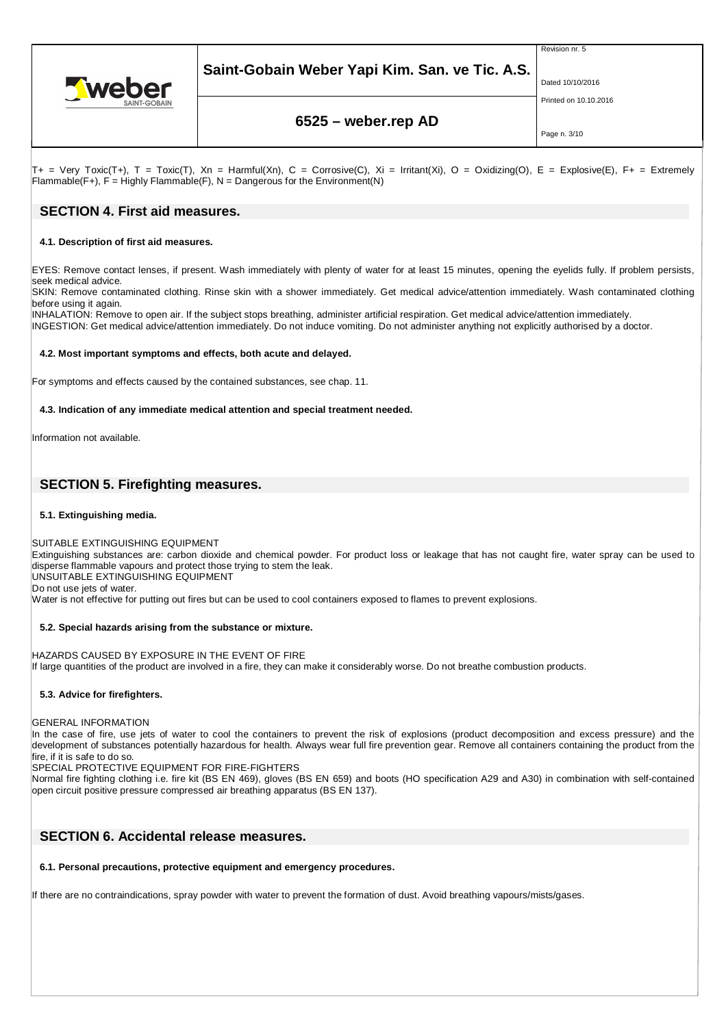

Revision nr. 5



Dated 10/10/2016 Printed on 10.10.2016

# **6525 – weber.rep AD**

Page n. 3/10

 $T_+$  = Very Toxic(T+), T = Toxic(T), Xn = Harmful(Xn), C = Corrosive(C), Xi = Irritant(Xi), O = Oxidizing(O), E = Explosive(E), F+ = Extremely  $F$ lammable(F+), F = Highly Flammable(F), N = Dangerous for the Environment(N)

### **SECTION 4. First aid measures.**

### **4.1. Description of first aid measures.**

EYES: Remove contact lenses, if present. Wash immediately with plenty of water for at least 15 minutes, opening the eyelids fully. If problem persists, seek medical advice.

SKIN: Remove contaminated clothing. Rinse skin with a shower immediately. Get medical advice/attention immediately. Wash contaminated clothing before using it again.

INHALATION: Remove to open air. If the subject stops breathing, administer artificial respiration. Get medical advice/attention immediately.

INGESTION: Get medical advice/attention immediately. Do not induce vomiting. Do not administer anything not explicitly authorised by a doctor.

#### **4.2. Most important symptoms and effects, both acute and delayed.**

For symptoms and effects caused by the contained substances, see chap. 11.

#### **4.3. Indication of any immediate medical attention and special treatment needed.**

Information not available.

# **SECTION 5. Firefighting measures.**

#### **5.1. Extinguishing media.**

SUITABLE EXTINGUISHING EQUIPMENT

Extinguishing substances are: carbon dioxide and chemical powder. For product loss or leakage that has not caught fire, water spray can be used to disperse flammable vapours and protect those trying to stem the leak.

UNSUITABLE EXTINGUISHING EQUIPMENT

Do not use jets of water.

Water is not effective for putting out fires but can be used to cool containers exposed to flames to prevent explosions.

#### **5.2. Special hazards arising from the substance or mixture.**

HAZARDS CAUSED BY EXPOSURE IN THE EVENT OF FIRE If large quantities of the product are involved in a fire, they can make it considerably worse. Do not breathe combustion products.

#### **5.3. Advice for firefighters.**

GENERAL INFORMATION

In the case of fire, use jets of water to cool the containers to prevent the risk of explosions (product decomposition and excess pressure) and the development of substances potentially hazardous for health. Always wear full fire prevention gear. Remove all containers containing the product from the fire, if it is safe to do so.

SPECIAL PROTECTIVE EQUIPMENT FOR FIRE-FIGHTERS

Normal fire fighting clothing i.e. fire kit (BS EN 469), gloves (BS EN 659) and boots (HO specification A29 and A30) in combination with self-contained open circuit positive pressure compressed air breathing apparatus (BS EN 137).

## **SECTION 6. Accidental release measures.**

#### **6.1. Personal precautions, protective equipment and emergency procedures.**

If there are no contraindications, spray powder with water to prevent the formation of dust. Avoid breathing vapours/mists/gases.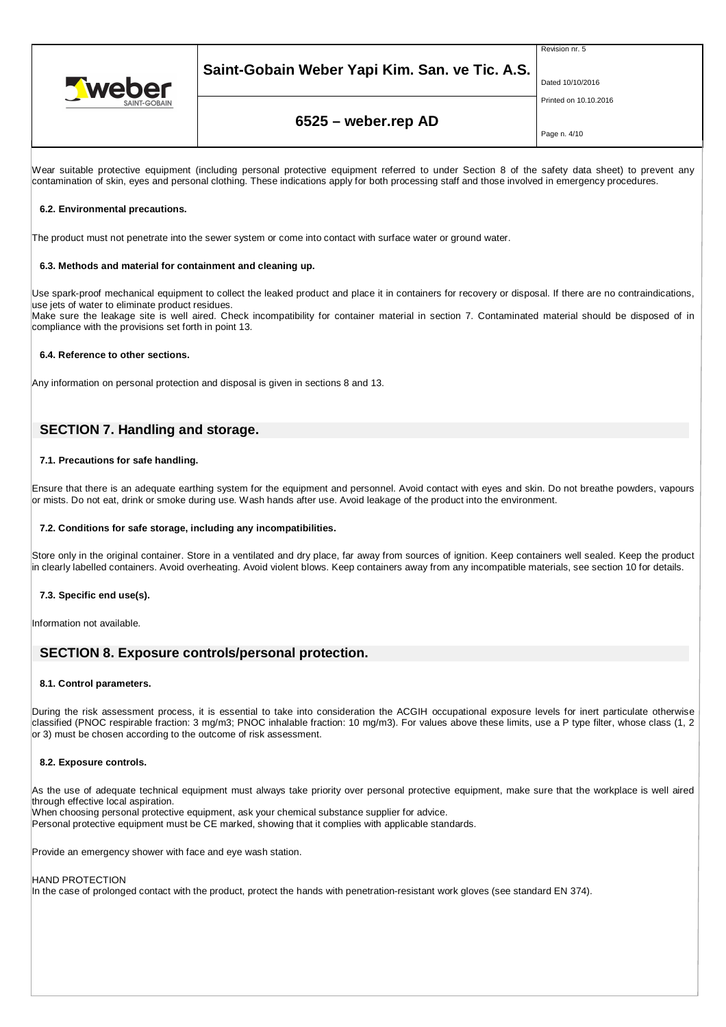

# **Saint-Gobain Weber Yapi Kim. San. ve Tic. A.S.**

Revision nr. 5

Dated 10/10/2016

Printed on 10.10.2016

# **6525 – weber.rep AD**

Page n. 4/10

Wear suitable protective equipment (including personal protective equipment referred to under Section 8 of the safety data sheet) to prevent any contamination of skin, eyes and personal clothing. These indications apply for both processing staff and those involved in emergency procedures.

#### **6.2. Environmental precautions.**

The product must not penetrate into the sewer system or come into contact with surface water or ground water.

#### **6.3. Methods and material for containment and cleaning up.**

Use spark-proof mechanical equipment to collect the leaked product and place it in containers for recovery or disposal. If there are no contraindications, use jets of water to eliminate product residues. Make sure the leakage site is well aired. Check incompatibility for container material in section 7. Contaminated material should be disposed of in

compliance with the provisions set forth in point 13.

#### **6.4. Reference to other sections.**

Any information on personal protection and disposal is given in sections 8 and 13.

## **SECTION 7. Handling and storage.**

#### **7.1. Precautions for safe handling.**

Ensure that there is an adequate earthing system for the equipment and personnel. Avoid contact with eyes and skin. Do not breathe powders, vapours or mists. Do not eat, drink or smoke during use. Wash hands after use. Avoid leakage of the product into the environment.

#### **7.2. Conditions for safe storage, including any incompatibilities.**

Store only in the original container. Store in a ventilated and dry place, far away from sources of ignition. Keep containers well sealed. Keep the product in clearly labelled containers. Avoid overheating. Avoid violent blows. Keep containers away from any incompatible materials, see section 10 for details.

#### **7.3. Specific end use(s).**

Information not available.

### **SECTION 8. Exposure controls/personal protection.**

#### **8.1. Control parameters.**

During the risk assessment process, it is essential to take into consideration the ACGIH occupational exposure levels for inert particulate otherwise classified (PNOC respirable fraction: 3 mg/m3; PNOC inhalable fraction: 10 mg/m3). For values above these limits, use a P type filter, whose class (1, 2 or 3) must be chosen according to the outcome of risk assessment.

#### **8.2. Exposure controls.**

As the use of adequate technical equipment must always take priority over personal protective equipment, make sure that the workplace is well aired through effective local aspiration.

When choosing personal protective equipment, ask your chemical substance supplier for advice.

Personal protective equipment must be CE marked, showing that it complies with applicable standards.

Provide an emergency shower with face and eye wash station.

#### HAND PROTECTION

In the case of prolonged contact with the product, protect the hands with penetration-resistant work gloves (see standard EN 374).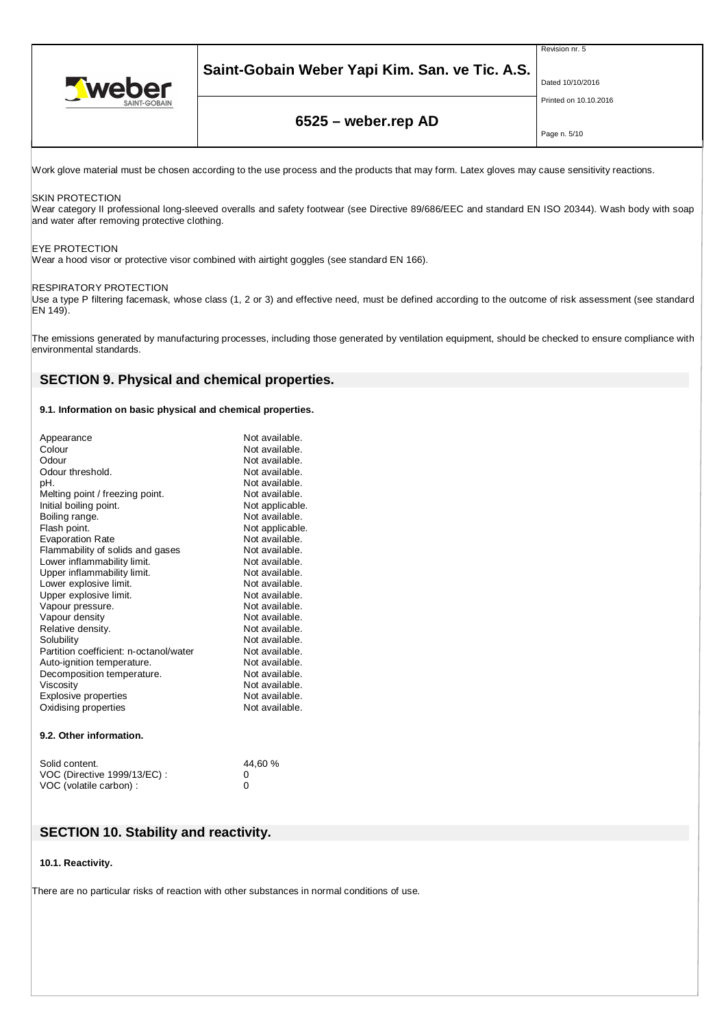

# **Saint-Gobain Weber Yapi Kim. San. ve Tic. A.S.**

Revision nr. 5

Dated 10/10/2016 Printed on 10.10.2016

# **6525 – weber.rep AD**

Page n. 5/10

Work glove material must be chosen according to the use process and the products that may form. Latex gloves may cause sensitivity reactions.

#### SKIN PROTECTION

Wear category II professional long-sleeved overalls and safety footwear (see Directive 89/686/EEC and standard EN ISO 20344). Wash body with soap and water after removing protective clothing.

#### EYE PROTECTION

Wear a hood visor or protective visor combined with airtight goggles (see standard EN 166).

#### RESPIRATORY PROTECTION

Use a type P filtering facemask, whose class (1, 2 or 3) and effective need, must be defined according to the outcome of risk assessment (see standard EN 149).

The emissions generated by manufacturing processes, including those generated by ventilation equipment, should be checked to ensure compliance with environmental standards.

### **SECTION 9. Physical and chemical properties.**

#### **9.1. Information on basic physical and chemical properties.**

| Appearance                             | Not available.  |
|----------------------------------------|-----------------|
| Colour                                 | Not available.  |
| Odour                                  | Not available.  |
| Odour threshold.                       | Not available.  |
| pН.                                    | Not available.  |
| Melting point / freezing point.        | Not available.  |
| Initial boiling point.                 | Not applicable. |
| Boiling range.                         | Not available.  |
| Flash point.                           | Not applicable. |
| <b>Evaporation Rate</b>                | Not available.  |
| Flammability of solids and gases       | Not available.  |
| Lower inflammability limit.            | Not available.  |
| Upper inflammability limit.            | Not available.  |
| Lower explosive limit.                 | Not available.  |
| Upper explosive limit.                 | Not available.  |
| Vapour pressure.                       | Not available.  |
| Vapour density                         | Not available.  |
| Relative density.                      | Not available.  |
| Solubility                             | Not available.  |
| Partition coefficient: n-octanol/water | Not available.  |
| Auto-ignition temperature.             | Not available.  |
| Decomposition temperature.             | Not available.  |
| Viscosity                              | Not available.  |
| <b>Explosive properties</b>            | Not available.  |
| Oxidising properties                   | Not available.  |
|                                        |                 |
| 9.2. Other information.                |                 |
|                                        |                 |

| Solid content.              | 44,60 % |
|-----------------------------|---------|
| VOC (Directive 1999/13/EC): |         |
| VOC (volatile carbon) :     |         |

### **SECTION 10. Stability and reactivity.**

#### **10.1. Reactivity.**

There are no particular risks of reaction with other substances in normal conditions of use.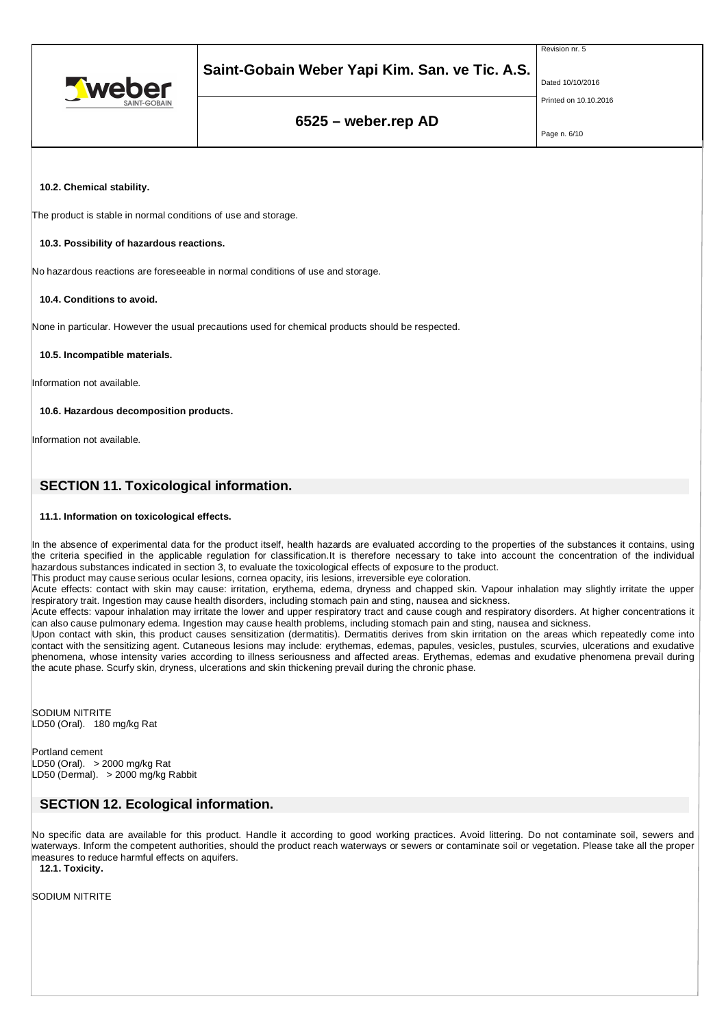



### Dated 10/10/2016

Revision nr. 5

Printed on 10.10.2016

# **6525 – weber.rep AD**

Page n. 6/10

**10.2. Chemical stability.**

The product is stable in normal conditions of use and storage.

#### **10.3. Possibility of hazardous reactions.**

No hazardous reactions are foreseeable in normal conditions of use and storage.

#### **10.4. Conditions to avoid.**

None in particular. However the usual precautions used for chemical products should be respected.

#### **10.5. Incompatible materials.**

Information not available.

**10.6. Hazardous decomposition products.**

Information not available.

# **SECTION 11. Toxicological information.**

### **11.1. Information on toxicological effects.**

In the absence of experimental data for the product itself, health hazards are evaluated according to the properties of the substances it contains, using the criteria specified in the applicable regulation for classification.It is therefore necessary to take into account the concentration of the individual hazardous substances indicated in section 3, to evaluate the toxicological effects of exposure to the product.

This product may cause serious ocular lesions, cornea opacity, iris lesions, irreversible eye coloration.

Acute effects: contact with skin may cause: irritation, erythema, edema, dryness and chapped skin. Vapour inhalation may slightly irritate the upper respiratory trait. Ingestion may cause health disorders, including stomach pain and sting, nausea and sickness.

Acute effects: vapour inhalation may irritate the lower and upper respiratory tract and cause cough and respiratory disorders. At higher concentrations it can also cause pulmonary edema. Ingestion may cause health problems, including stomach pain and sting, nausea and sickness.

Upon contact with skin, this product causes sensitization (dermatitis). Dermatitis derives from skin irritation on the areas which repeatedly come into contact with the sensitizing agent. Cutaneous lesions may include: erythemas, edemas, papules, vesicles, pustules, scurvies, ulcerations and exudative phenomena, whose intensity varies according to illness seriousness and affected areas. Erythemas, edemas and exudative phenomena prevail during the acute phase. Scurfy skin, dryness, ulcerations and skin thickening prevail during the chronic phase.

SODIUM NITRITE LD50 (Oral). 180 mg/kg Rat

Portland cement  $LD50$  (Oral). > 2000 mg/kg Rat LD50 (Dermal). > 2000 mg/kg Rabbit

# **SECTION 12. Ecological information.**

No specific data are available for this product. Handle it according to good working practices. Avoid littering. Do not contaminate soil, sewers and waterways. Inform the competent authorities, should the product reach waterways or sewers or contaminate soil or vegetation. Please take all the proper measures to reduce harmful effects on aquifers.

**12.1. Toxicity.**

SODIUM NITRITE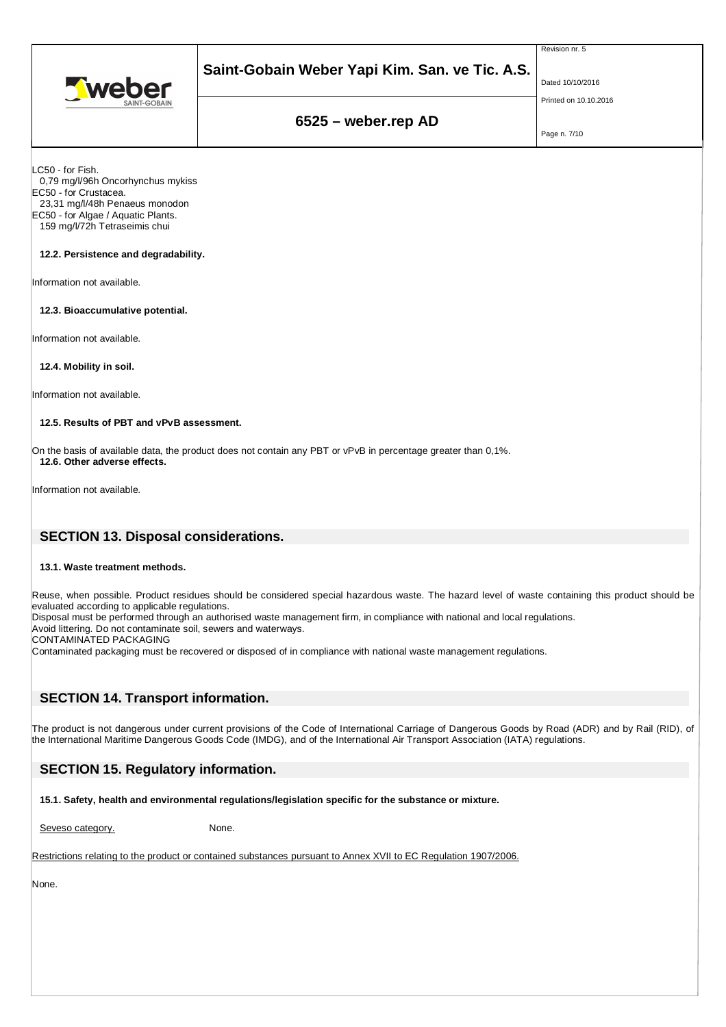



# Dated 10/10/2016

Revision nr. 5

Printed on 10.10.2016

# **6525 – weber.rep AD**

Page n. 7/10

LC50 - for Fish.

 0,79 mg/l/96h Oncorhynchus mykiss EC50 - for Crustacea.

23,31 mg/l/48h Penaeus monodon

EC50 - for Algae / Aquatic Plants. 159 mg/l/72h Tetraseimis chui

**12.2. Persistence and degradability.**

Information not available.

**12.3. Bioaccumulative potential.**

Information not available.

**12.4. Mobility in soil.**

Information not available.

### **12.5. Results of PBT and vPvB assessment.**

On the basis of available data, the product does not contain any PBT or vPvB in percentage greater than 0,1%. **12.6. Other adverse effects.**

Information not available.

# **SECTION 13. Disposal considerations.**

#### **13.1. Waste treatment methods.**

Reuse, when possible. Product residues should be considered special hazardous waste. The hazard level of waste containing this product should be evaluated according to applicable regulations.

Disposal must be performed through an authorised waste management firm, in compliance with national and local regulations.

Avoid littering. Do not contaminate soil, sewers and waterways.

CONTAMINATED PACKAGING

Contaminated packaging must be recovered or disposed of in compliance with national waste management regulations.

# **SECTION 14. Transport information.**

The product is not dangerous under current provisions of the Code of International Carriage of Dangerous Goods by Road (ADR) and by Rail (RID), of the International Maritime Dangerous Goods Code (IMDG), and of the International Air Transport Association (IATA) regulations.

# **SECTION 15. Regulatory information.**

**15.1. Safety, health and environmental regulations/legislation specific for the substance or mixture.**

Seveso category. None.

Restrictions relating to the product or contained substances pursuant to Annex XVII to EC Regulation 1907/2006.

None.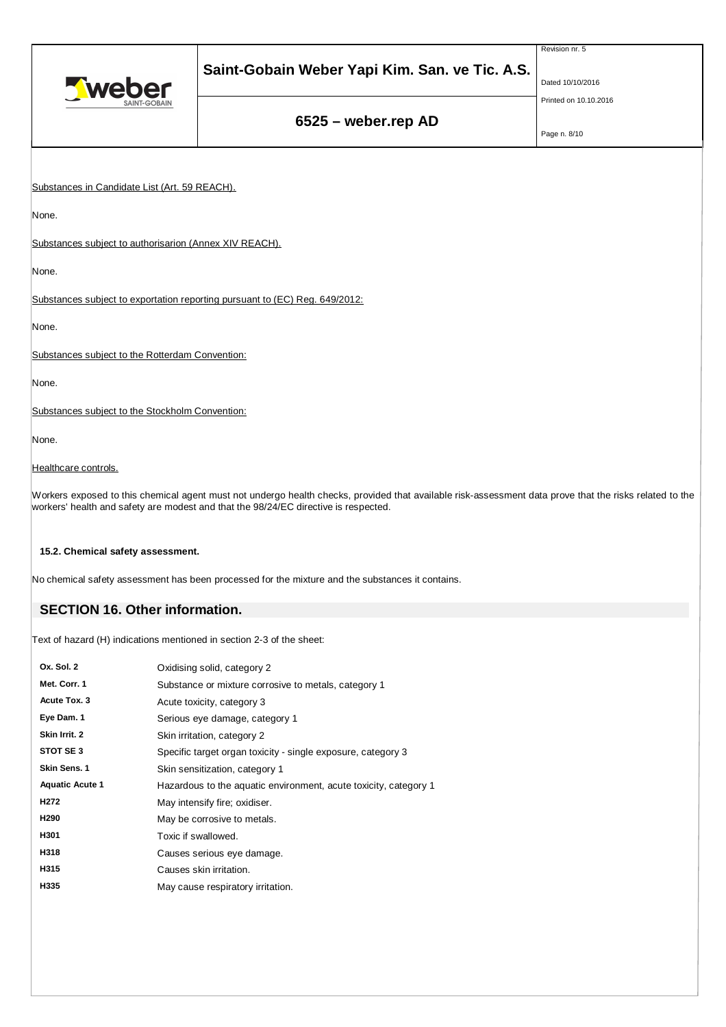|                                                                       |                                                                                                                                                                                                                                                | Revision nr. 5        |  |
|-----------------------------------------------------------------------|------------------------------------------------------------------------------------------------------------------------------------------------------------------------------------------------------------------------------------------------|-----------------------|--|
| Tweber                                                                | Saint-Gobain Weber Yapi Kim. San. ve Tic. A.S.                                                                                                                                                                                                 | Dated 10/10/2016      |  |
|                                                                       |                                                                                                                                                                                                                                                | Printed on 10.10.2016 |  |
|                                                                       | 6525 - weber.rep AD                                                                                                                                                                                                                            | Page n. 8/10          |  |
|                                                                       |                                                                                                                                                                                                                                                |                       |  |
| Substances in Candidate List (Art. 59 REACH).                         |                                                                                                                                                                                                                                                |                       |  |
| None.                                                                 |                                                                                                                                                                                                                                                |                       |  |
| Substances subject to authorisarion (Annex XIV REACH).                |                                                                                                                                                                                                                                                |                       |  |
| None.                                                                 |                                                                                                                                                                                                                                                |                       |  |
|                                                                       | Substances subject to exportation reporting pursuant to (EC) Reg. 649/2012:                                                                                                                                                                    |                       |  |
| None.                                                                 |                                                                                                                                                                                                                                                |                       |  |
| Substances subject to the Rotterdam Convention:                       |                                                                                                                                                                                                                                                |                       |  |
| None.                                                                 |                                                                                                                                                                                                                                                |                       |  |
| Substances subject to the Stockholm Convention:                       |                                                                                                                                                                                                                                                |                       |  |
| None.                                                                 |                                                                                                                                                                                                                                                |                       |  |
| Healthcare controls.                                                  |                                                                                                                                                                                                                                                |                       |  |
|                                                                       | Workers exposed to this chemical agent must not undergo health checks, provided that available risk-assessment data prove that the risks related to the<br>workers' health and safety are modest and that the 98/24/EC directive is respected. |                       |  |
| 15.2. Chemical safety assessment.                                     |                                                                                                                                                                                                                                                |                       |  |
|                                                                       | No chemical safety assessment has been processed for the mixture and the substances it contains.                                                                                                                                               |                       |  |
| <b>SECTION 16. Other information.</b>                                 |                                                                                                                                                                                                                                                |                       |  |
| Text of hazard (H) indications mentioned in section 2-3 of the sheet: |                                                                                                                                                                                                                                                |                       |  |
| $Qx$ $Qy$ $Qy$                                                        | $O$ $d$ -identified and $O$                                                                                                                                                                                                                    |                       |  |

| Ox. Sol. 2             | Oxidising solid, category 2                                      |  |  |  |
|------------------------|------------------------------------------------------------------|--|--|--|
| Met. Corr. 1           | Substance or mixture corrosive to metals, category 1             |  |  |  |
| Acute Tox. 3           | Acute toxicity, category 3                                       |  |  |  |
| Eye Dam. 1             | Serious eye damage, category 1                                   |  |  |  |
| Skin Irrit. 2          | Skin irritation, category 2                                      |  |  |  |
| STOT SE 3              | Specific target organ toxicity - single exposure, category 3     |  |  |  |
| Skin Sens. 1           | Skin sensitization, category 1                                   |  |  |  |
| <b>Aquatic Acute 1</b> | Hazardous to the aquatic environment, acute toxicity, category 1 |  |  |  |
| H <sub>2</sub> 72      | May intensify fire; oxidiser.                                    |  |  |  |
| H290                   | May be corrosive to metals.                                      |  |  |  |
| H301                   | Toxic if swallowed.                                              |  |  |  |
| H318                   | Causes serious eye damage.                                       |  |  |  |
| H315                   | Causes skin irritation.                                          |  |  |  |
| H335                   | May cause respiratory irritation.                                |  |  |  |
|                        |                                                                  |  |  |  |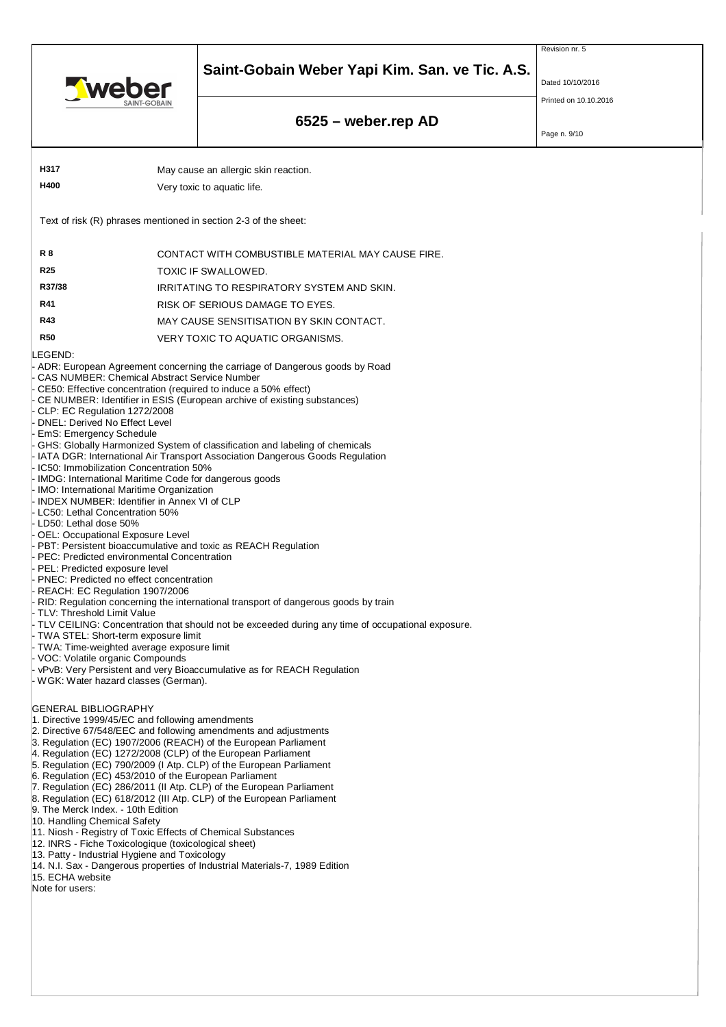



Dated 10/10/2016

Revision nr. 5

Printed on 10.10.2016

# **6525 – weber.rep AD**

Page n. 9/10

| H317<br>May cause an allergic skin reaction.                                                                                                                                                                                                                                                                                                                                                                                                                                                                                                                                                                                                                                                                                                                                                                                                                                                                                                                                                                                                                                                                                                                                                                                                                                                                                                                                                                                                                                                                                                                                                                                                                                                                                                                                                                                                                                                                                                                                                                                                                                                                                               |  |                                                   |  |  |  |  |  |
|--------------------------------------------------------------------------------------------------------------------------------------------------------------------------------------------------------------------------------------------------------------------------------------------------------------------------------------------------------------------------------------------------------------------------------------------------------------------------------------------------------------------------------------------------------------------------------------------------------------------------------------------------------------------------------------------------------------------------------------------------------------------------------------------------------------------------------------------------------------------------------------------------------------------------------------------------------------------------------------------------------------------------------------------------------------------------------------------------------------------------------------------------------------------------------------------------------------------------------------------------------------------------------------------------------------------------------------------------------------------------------------------------------------------------------------------------------------------------------------------------------------------------------------------------------------------------------------------------------------------------------------------------------------------------------------------------------------------------------------------------------------------------------------------------------------------------------------------------------------------------------------------------------------------------------------------------------------------------------------------------------------------------------------------------------------------------------------------------------------------------------------------|--|---------------------------------------------------|--|--|--|--|--|
| H400                                                                                                                                                                                                                                                                                                                                                                                                                                                                                                                                                                                                                                                                                                                                                                                                                                                                                                                                                                                                                                                                                                                                                                                                                                                                                                                                                                                                                                                                                                                                                                                                                                                                                                                                                                                                                                                                                                                                                                                                                                                                                                                                       |  | Very toxic to aquatic life.                       |  |  |  |  |  |
|                                                                                                                                                                                                                                                                                                                                                                                                                                                                                                                                                                                                                                                                                                                                                                                                                                                                                                                                                                                                                                                                                                                                                                                                                                                                                                                                                                                                                                                                                                                                                                                                                                                                                                                                                                                                                                                                                                                                                                                                                                                                                                                                            |  |                                                   |  |  |  |  |  |
| Text of risk (R) phrases mentioned in section 2-3 of the sheet:                                                                                                                                                                                                                                                                                                                                                                                                                                                                                                                                                                                                                                                                                                                                                                                                                                                                                                                                                                                                                                                                                                                                                                                                                                                                                                                                                                                                                                                                                                                                                                                                                                                                                                                                                                                                                                                                                                                                                                                                                                                                            |  |                                                   |  |  |  |  |  |
| R8                                                                                                                                                                                                                                                                                                                                                                                                                                                                                                                                                                                                                                                                                                                                                                                                                                                                                                                                                                                                                                                                                                                                                                                                                                                                                                                                                                                                                                                                                                                                                                                                                                                                                                                                                                                                                                                                                                                                                                                                                                                                                                                                         |  | CONTACT WITH COMBUSTIBLE MATERIAL MAY CAUSE FIRE. |  |  |  |  |  |
| <b>R25</b>                                                                                                                                                                                                                                                                                                                                                                                                                                                                                                                                                                                                                                                                                                                                                                                                                                                                                                                                                                                                                                                                                                                                                                                                                                                                                                                                                                                                                                                                                                                                                                                                                                                                                                                                                                                                                                                                                                                                                                                                                                                                                                                                 |  | TOXIC IF SWALLOWED.                               |  |  |  |  |  |
| R37/38                                                                                                                                                                                                                                                                                                                                                                                                                                                                                                                                                                                                                                                                                                                                                                                                                                                                                                                                                                                                                                                                                                                                                                                                                                                                                                                                                                                                                                                                                                                                                                                                                                                                                                                                                                                                                                                                                                                                                                                                                                                                                                                                     |  | IRRITATING TO RESPIRATORY SYSTEM AND SKIN.        |  |  |  |  |  |
| R41                                                                                                                                                                                                                                                                                                                                                                                                                                                                                                                                                                                                                                                                                                                                                                                                                                                                                                                                                                                                                                                                                                                                                                                                                                                                                                                                                                                                                                                                                                                                                                                                                                                                                                                                                                                                                                                                                                                                                                                                                                                                                                                                        |  | RISK OF SERIOUS DAMAGE TO EYES.                   |  |  |  |  |  |
| R43                                                                                                                                                                                                                                                                                                                                                                                                                                                                                                                                                                                                                                                                                                                                                                                                                                                                                                                                                                                                                                                                                                                                                                                                                                                                                                                                                                                                                                                                                                                                                                                                                                                                                                                                                                                                                                                                                                                                                                                                                                                                                                                                        |  | MAY CAUSE SENSITISATION BY SKIN CONTACT.          |  |  |  |  |  |
| <b>R50</b>                                                                                                                                                                                                                                                                                                                                                                                                                                                                                                                                                                                                                                                                                                                                                                                                                                                                                                                                                                                                                                                                                                                                                                                                                                                                                                                                                                                                                                                                                                                                                                                                                                                                                                                                                                                                                                                                                                                                                                                                                                                                                                                                 |  | VERY TOXIC TO AQUATIC ORGANISMS.                  |  |  |  |  |  |
| LEGEND:<br>ADR: European Agreement concerning the carriage of Dangerous goods by Road<br><b>CAS NUMBER: Chemical Abstract Service Number</b><br>CE50: Effective concentration (required to induce a 50% effect)<br>CE NUMBER: Identifier in ESIS (European archive of existing substances)<br>CLP: EC Regulation 1272/2008<br>DNEL: Derived No Effect Level<br>EmS: Emergency Schedule<br>GHS: Globally Harmonized System of classification and labeling of chemicals<br>IATA DGR: International Air Transport Association Dangerous Goods Regulation<br>IC50: Immobilization Concentration 50%<br>IMDG: International Maritime Code for dangerous goods<br>IMO: International Maritime Organization<br><b>INDEX NUMBER: Identifier in Annex VI of CLP</b><br>LC50: Lethal Concentration 50%<br>LD50: Lethal dose 50%<br><b>OEL: Occupational Exposure Level</b><br>PBT: Persistent bioaccumulative and toxic as REACH Regulation<br>PEC: Predicted environmental Concentration<br>PEL: Predicted exposure level<br>PNEC: Predicted no effect concentration<br>REACH: EC Regulation 1907/2006<br>RID: Regulation concerning the international transport of dangerous goods by train<br>TLV: Threshold Limit Value<br>TLV CEILING: Concentration that should not be exceeded during any time of occupational exposure.<br>TWA STEL: Short-term exposure limit<br>TWA: Time-weighted average exposure limit<br>VOC: Volatile organic Compounds<br>vPvB: Very Persistent and very Bioaccumulative as for REACH Regulation<br>WGK: Water hazard classes (German).<br><b>GENERAL BIBLIOGRAPHY</b><br>1. Directive 1999/45/EC and following amendments<br>2. Directive 67/548/EEC and following amendments and adjustments<br>3. Regulation (EC) 1907/2006 (REACH) of the European Parliament<br>4. Regulation (EC) 1272/2008 (CLP) of the European Parliament<br>5. Regulation (EC) 790/2009 (I Atp. CLP) of the European Parliament<br>6. Regulation (EC) 453/2010 of the European Parliament<br>7. Regulation (EC) 286/2011 (II Atp. CLP) of the European Parliament<br>8. Regulation (EC) 618/2012 (III Atp. CLP) of the European Parliament |  |                                                   |  |  |  |  |  |
| 9. The Merck Index. - 10th Edition<br>10. Handling Chemical Safety<br>11. Niosh - Registry of Toxic Effects of Chemical Substances<br>12. INRS - Fiche Toxicologique (toxicological sheet)<br>13. Patty - Industrial Hygiene and Toxicology<br>14. N.I. Sax - Dangerous properties of Industrial Materials-7, 1989 Edition<br>15. ECHA website<br>Note for users:                                                                                                                                                                                                                                                                                                                                                                                                                                                                                                                                                                                                                                                                                                                                                                                                                                                                                                                                                                                                                                                                                                                                                                                                                                                                                                                                                                                                                                                                                                                                                                                                                                                                                                                                                                          |  |                                                   |  |  |  |  |  |
|                                                                                                                                                                                                                                                                                                                                                                                                                                                                                                                                                                                                                                                                                                                                                                                                                                                                                                                                                                                                                                                                                                                                                                                                                                                                                                                                                                                                                                                                                                                                                                                                                                                                                                                                                                                                                                                                                                                                                                                                                                                                                                                                            |  |                                                   |  |  |  |  |  |